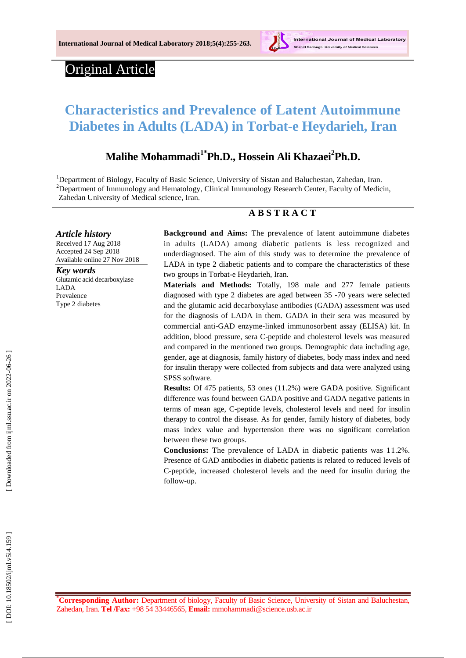

# Original Article

## **Characteristics and Prevalence of Latent Autoimmune Diabetes in Adults (LADA) in Torbat -e Heydarieh, Iran**

## **Malihe Mohammadi1\*Ph.D., Hossein Ali Khaza e i 2 Ph.D.**

<sup>1</sup>Department of Biology, Faculty of Basic Science, University of Sistan and Baluchestan, Zahedan, Iran. <sup>2</sup>Department of Immunology and Hematology, Clinical Immunology Research Center, Faculty of Medicin, Zahedan University of Medical science, Iran.

## **A B S T R A C T**

*Article history* Received 17 Aug 201 8 Accepted 24 Sep 201 8 Available online 27 Nov 201 8

*Key words* Glutamic acid decarboxylase LADA Prevalenc e Type 2 diabetes

**Background and Aims:** The prevalence of latent autoimmune diabetes in adults (LADA) among diabetic patients is less recognized and underdiagnosed. The aim of this study was to determine the prevalence of LADA in type 2 diabetic patients and to compare the characteristics of these two groups in Torbat -e Heydarieh, Iran.

**Materials and Methods:** Totally, 198 male and 277 female patients diagnosed with type 2 diabetes are aged between 35 - 70 years were selected and the glutamic acid decarboxylase antibodies (GADA) assessment was used for the diagnosis of LADA in them. GADA in their sera was measured by commercial anti -GAD enzyme -linked immunosorbent assay (ELISA) kit. In addition, blood pressure, sera C -peptide and cholesterol levels was measured and compared in the mentioned two groups. Demographic data including age, gender, age at diagnosis, family history of diabetes, body mass index and need for insulin therapy were collected from subjects and data were analyzed using SPSS software.

Results: Of 475 patients, 53 ones (11.2%) were GADA positive. Significant difference was found between GADA positive and GADA negative patients in terms of mean age, C -peptide levels, cholesterol levels and need for insulin therapy to control the disease . As for gender, family history of diabetes, body mass index value and hypertension there was no significant correlation between these two groups.

**Conclusion s :** The prevalence of LADA in diabetic patients was 11.2%. Presence of GAD antibodies in diabetic patients is related to reduced levels of C-peptide, increased cholesterol levels and the need for insulin during the follow -up.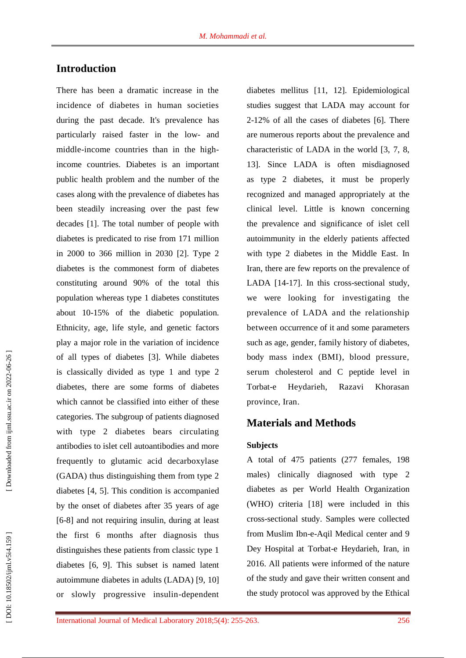## **Introduction**

There has been a dramatic increase in the incidence of diabetes in human societies during the past decade. It's prevalence has particularly raised faster in the low - and middle -income countries than in the high income countries. Diabetes is an important public health problem and the number of the cases along with the prevalence of diabetes ha s been steadily increasing over the past few decades [1]. The total number of people with diabetes is predicated to rise from 171 million in 2000 to 366 million in 2030 [2]. Type 2 diabetes is the commonest form of diabetes constituting around 90% of the total this population whereas type 1 diabetes constitutes about 10 -15% of the diabetic population. Ethnicity, age, life style, and genetic factors play a major role in the variation of incidence of all types of diabetes [3]. While diabetes is classically divided as type 1 and type 2 diabetes, there are some forms of diabetes which cannot be classified into either of these categories. The subgroup of patients diagnosed with type 2 diabetes bears circulating antibodies to islet cell autoantibodies and more frequently to glutamic acid decarboxylase (GADA) thus distinguishing them from type 2 diabetes [4, 5]. This condition is accompanied by the onset of diabetes after 35 years of age [6 -8] and not requiring insulin, during at least the first 6 months after diagnosis thus distinguishes these patients from classic type 1 diabetes [6, 9]. This subset is named latent autoimmune diabetes in adults (LADA) [9, 10] or slowly progressive insulin -dependent

diabetes mellitus [11, 12]. Epidemiological studies suggest that LADA may account for 2-12% of all the cases of diabetes [6]. There are numerous reports about the prevalence and characteristic of LADA in the world [3, 7, 8, 13]. Since LADA is often misdiagnosed as type 2 diabetes, it must be properly recognized and managed appropriately at the clinical level. Little is known concerning the prevalence and significance of islet cell autoimmunity in the elderly patients affected with type 2 diabetes in the Middle East. In Iran, there are few reports on the prevalence of LADA [14 -17]. In this cross -sectional study, we were looking for investigating the prevalence of LADA and the relationship between occurrence of it and some parameters such as age, gender, family history of diabetes, body mass index (BMI), blood pressure, serum cholesterol and C peptide level in Torbat Heydarieh, Razavi Khorasan province, Iran .

## **Materials and Methods**

#### **Subjects**

A total of 475 patients (277 females, 198 males) clinically diagnosed with type 2 diabetes as per World Health Organization (WHO) criteria [18] were included in this cross -sectional study. Samples were collected from Muslim Ibn - e -Aqil Medical center and 9 Dey Hospital at Torbat -e Heydarieh, Iran, in 2016. All patients were informed of the nature of the study and gave their written consent and the study protocol was approved by the Ethical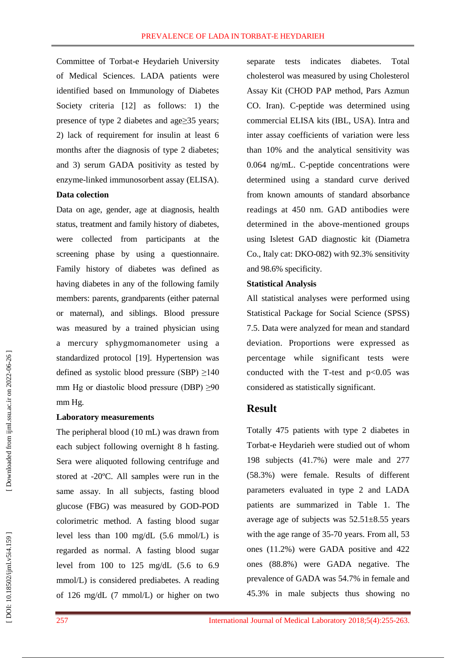Committee of Torbat -e Heydarieh University of Medical Sciences. LADA patients were identified based on Immunology of Diabetes Society criteria [12] as follows: 1) the presence of type 2 diabetes and age ≥35 years; 2) lack of requirement for insulin at least 6 months after the diagnosis of type 2 diabetes; and 3) serum GADA positivity as tested by enzyme -linked immunosorbent assay (ELISA).

#### **Data colection**

Data on age, gender, age at diagnosis, health status, treatment and family history of diabetes, were collected from participants at the screening phase by using a questionnaire. Family history of diabetes was defined as having diabetes in any of the following family members: parents, grandparents (either paternal or maternal), and siblings. Blood pressure was measured by a trained physician using a mercury sphygmomanometer using a standardized protocol [19]. Hypertension was defined as systolic blood pressure (SBP) ≥140 mm Hg or diastolic blood pressure (DBP)  $\geq 90$ mm Hg.

#### **Laboratory measurements**

The peripheral blood (10 mL) was drawn from each subject following overnight 8 h fasting. Sera were aliquoted following centrifuge and stored at -20ºC. All samples were run in the same assay. In all subjects , fasting blood glucose (FBG) was measured by GOD -POD colorimetric method. A fasting blood sugar level less than 100 mg/dL (5.6 mmol/L) is regarded as normal. A fasting blood sugar level from 100 to 125 mg/dL (5.6 to 6.9 mmol/L) is considered prediabetes. A reading of 126 mg/dL (7 mmol/L) or higher on two

separate tests indicates diabetes. Total cholesterol was measured by using Cholesterol Assay Kit (CHOD PAP method, Pars Azmun CO. Iran). C -peptide was determined using commercial ELISA kits (IBL, USA). Intra and inter assay coefficients of variation were less than 10% and the analytical sensitivity was 0.064 ng/mL. C -peptide concentrations were determined using a standard curve derived from known amounts of standard absorbance readings at 450 nm. GAD antibodies were determined in the above -mentioned groups using Isletest GAD diagnostic kit (Diametra Co., Italy cat: DKO -082) with 92.3% sensitivity and 98.6% specificity.

#### **Statistical Analysis**

All statistical analyses were performed using Statistical Package for Social Science (SPSS) 7.5. Data were analyzed for mean and standard deviation. Proportions were expressed as percentage while significant tests were conducted with the T-test and  $p<0.05$  was considered as statistically significant.

### **Result**

Totally 475 patients with type 2 diabetes in Torbat -e Heydarieh were studied out of whom 198 subjects (41.7%) were male and 277 (58.3%) were female. Results of different parameters evaluated in type 2 and LADA patients are summarized in Table 1. The average age of subjects was  $52.51 \pm 8.55$  years with the age range of 35-70 years. From all, 53 ones (11.2%) were GADA positive and 422 ones (88.8%) were GADA negative. The prevalence of GADA was 54.7% in female and 45.3% in male subjects thus showing no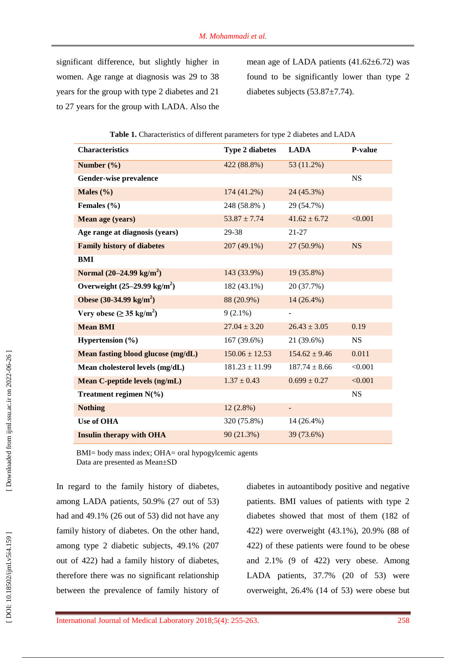significant difference, but slightly higher in women. Age range at diagnosis was 29 to 38 years for the group with type 2 diabetes and 21 to 27 years for the group with LADA . Also the mean age of LADA patients  $(41.62 \pm 6.72)$  was found to be significantly lower than type 2 diabetes subjects (53.87±7.7 4).

| <b>Characteristics</b>                     | <b>Type 2 diabetes</b> | <b>LADA</b>              | P-value   |
|--------------------------------------------|------------------------|--------------------------|-----------|
| Number $(\% )$                             | 422 (88.8%)            | 53 (11.2%)               |           |
| Gender-wise prevalence                     |                        |                          | <b>NS</b> |
| Males $(\% )$                              | $174(41.2\%)$          | 24 (45.3%)               |           |
| Females (%)                                | 248 (58.8%)            | 29 (54.7%)               |           |
| Mean age (years)                           | $53.87 \pm 7.74$       | $41.62 \pm 6.72$         | < 0.001   |
| Age range at diagnosis (years)             | 29-38                  | $21 - 27$                |           |
| <b>Family history of diabetes</b>          | 207 (49.1%)            | 27 (50.9%)               | <b>NS</b> |
| <b>BMI</b>                                 |                        |                          |           |
| Normal $(20-24.99 \text{ kg/m}^2)$         | 143 (33.9%)            | 19 (35.8%)               |           |
| Overweight $(25-29.99 \text{ kg/m}^2)$     | 182 (43.1%)            | 20 (37.7%)               |           |
| Obese $(30-34.99 \text{ kg/m}^2)$          | 88 (20.9%)             | $14(26.4\%)$             |           |
| Very obese ( $\geq$ 35 kg/m <sup>2</sup> ) | $9(2.1\%)$             |                          |           |
| <b>Mean BMI</b>                            | $27.04 \pm 3.20$       | $26.43 \pm 3.05$         | 0.19      |
| Hypertension $(\% )$                       | 167 (39.6%)            | 21 (39.6%)               | <b>NS</b> |
| Mean fasting blood glucose (mg/dL)         | $150.06 \pm 12.53$     | $154.62 \pm 9.46$        | 0.011     |
| Mean cholesterol levels (mg/dL)            | $181.23 \pm 11.99$     | $187.74 \pm 8.66$        | < 0.001   |
| <b>Mean C-peptide levels (ng/mL)</b>       | $1.37 \pm 0.43$        | $0.699 \pm 0.27$         | < 0.001   |
| Treatment regimen $N(\% )$                 |                        |                          | <b>NS</b> |
| <b>Nothing</b>                             | $12(2.8\%)$            | $\overline{\phantom{a}}$ |           |
| Use of OHA                                 | 320 (75.8%)            | 14 (26.4%)               |           |
| <b>Insulin therapy with OHA</b>            | 90(21.3%)              | 39 (73.6%)               |           |

|  | Table 1. Characteristics of different parameters for type 2 diabetes and LADA |
|--|-------------------------------------------------------------------------------|
|--|-------------------------------------------------------------------------------|

BMI= body mass index; OHA= oral hypogylcemic agents Data are presented as Mean±SD

In regard to the family history of diabetes, among LADA patients, 50.9% (27 out of 53) had and 49.1% (26 out of 53) did not have any family history of diabetes. On the other hand, among type 2 diabetic subjects, 49.1% (207 out of 422) had a family history of diabetes, therefore there was no significant relationship between the prevalence of family history of

diabetes in autoantibody positive and negative patients. BMI values of patients with type 2 diabetes showed that most of them (182 of 422) were overweight (43.1%), 20.9% (88 of 422) of these patients were found to be obese and 2.1% (9 of 422) very obese. Among LADA patients, 37.7% (20 of 53) were overweight, 26.4% (14 of 53) were obese but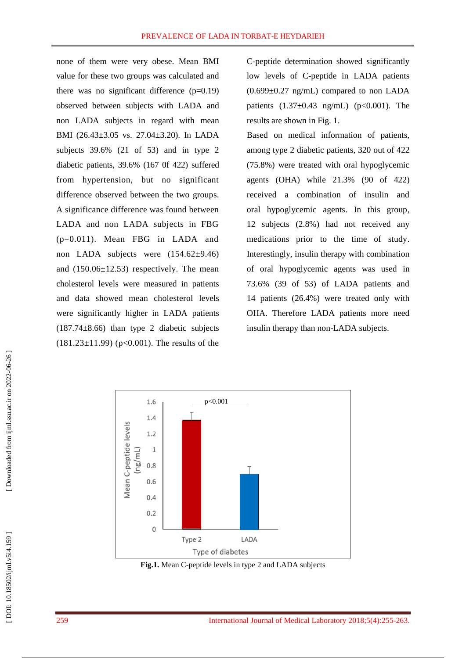non e of them were very obese. Mean BMI value for these two groups was calculated and there was no significant difference  $(p=0.19)$ observed between subjects with LADA and non LADA subjects in regard with mean BMI (26.43±3.05 vs. 27.04±3.20). In LADA subjects 39.6% (21 of 53) and in type 2 diabetic patients , 39.6% (167 0f 422) suffered from hypertension, but no significant difference observed between the two groups. A significance difference was found between LADA and non LADA subjects in FBG (p=0.011). Mean FBG in LADA and non LADA subjects were (154.62 ±9.46) and (150.06±12.53) respectively. The mean cholesterol levels were measured in patients and data showed mean cholesterol levels were significantly higher in LADA patients (187.74 $\pm$ 8.66) than type 2 diabetic subjects (181.23 $\pm$ 11.99) (p<0.001). The results of the

C -peptide determination showed significantly low levels of C -peptide in LADA patients  $(0.699\pm0.27 \text{ ng/mL})$  compared to non LADA patients  $(1.37 \pm 0.43 \text{ ng/mL})$  (p<0.001). The results are shown in Fig. 1.

Based on medical information of patients, among type 2 diabetic patients, 320 out of 422 (75.8%) were treated with oral hypoglycemic agents (OHA) while 21.3% (90 of 422) received a combination of insulin and oral hypoglycemic agents. In this group, 12 subjects (2.8%) had not received any medications prior to the time of study. Interestingly, insulin therapy with combination of oral hypoglycemic agents was used in 73.6% (39 of 53) of LADA patients and 14 patients (26.4%) were treated only with OHA. Therefore LADA patients more need insulin therapy than non -LADA subjects.



**Fig.1.** Mean C -peptide levels in type 2 and LADA subjects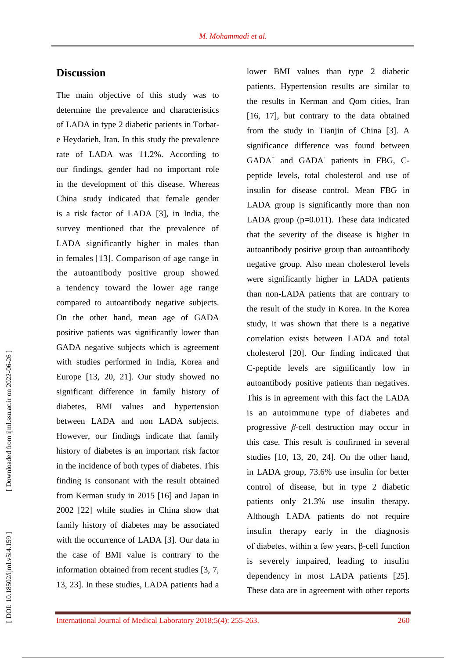## **Discussion**

The main objective of this study was to determine the prevalence and characteristics of LADA in type 2 diabetic patients in Torbat e Heydarieh, Iran. In this study the prevalence rate of LADA was 11.2%. According to our findings, gender ha d no important role in the development of this disease. Whereas China study indicated that female gender is a risk factor of LADA [3], in India, the survey mentioned that the prevalence of LADA significantly higher in males than in females [13]. Comparison of age range in the autoantibody positive group showed a tendency toward the lower age range compared to autoantibody negative subjects. On the other hand , mean age of GADA positive patients was significantly lower than GADA negative subjects which is agreement with studies performed in India, Korea and Europe [13, 20, 2 1]. Our study showed no significant difference in family history of diabetes, BMI values and hypertension between LADA and non LADA subjects. However, our findings indicate that family history of diabetes is an important risk factor in the incidence of both types of diabetes. This finding is consonant with the result obtained from Kerman study in 2015 [16] and Japan in 2002 [2 2] while studies in China show that family history of diabetes may be associated with the occurrence of LADA [3]. Our data in the case of BMI value is contrary to the information obtained from recent studies [3, 7, 13, 2 3]. In these studies, LADA patients had a

lower BMI values than type 2 diabetic patients. Hypertension results are similar to the results in Kerman and Qom cities, Iran [16, 17], but contrary to the data obtained from the study in Tianjin of China [3]. A significance difference was found between GADA<sup>+</sup> and GADA<sup>-</sup> patients in FBG, Cpeptide levels, total cholesterol and use of insulin for disease control. Mean FBG in LADA group is significantly more than non LADA group  $(p=0.011)$ . These data indicated that the severity of the disease is higher in autoantibody positive group than autoantibody negative group. Also mean cholesterol levels were significantly higher in LADA patients than non -LADA patients that are contrary to the result of the study in Korea. In the Korea study, it was shown that there is a negative correlation exist s between LADA and total cholesterol [2 0]. Our finding indicated that C -peptide levels are significantly low in autoantibody positive patients than negative s. This is in agreement with this fact th e LADA is an autoimmune type of diabetes and progressive *β* -cell destruction may occur in this case. This result is confirmed in several studies [10, 13, 2 0, 2 4]. On the other hand, in LADA group, 73.6% use insulin for better control of disease, but in type 2 diabetic patients only 21.3% use insulin therapy. Although LADA patients do not require insulin therapy early in the diagnosis of diabetes, within a few years, β -cell function is severely impaired, leading to insulin dependency in most LADA patients [2 5]. These data are in agreement with other reports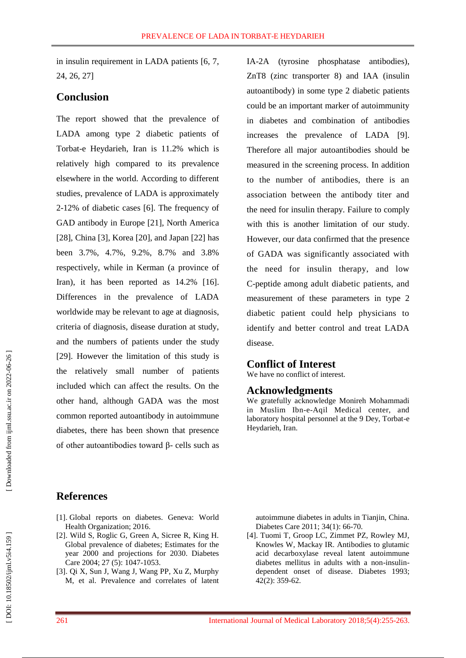in insulin requirement in LADA patients [6, 7, 24, 26, 27]

## **Conclusion**

The report showed that the prevalence of LADA among type 2 diabetic patients of Torbat -e Heydarieh, Iran is 11.2% which is relatively high compared to its prevalence elsewhere in the world. According to different studies, prevalence of LADA is approximately 2-12% of diabetic cases [6]. The frequency of GAD antibody in Europe [2 1], North America [2 8], China [3], Korea [2 0], and Japan [2 2] has been 3.7%, 4.7%, 9.2%, 8.7% and 3.8% respectively, while in Kerman (a province of Iran), it has been reported as 14.2% [16]. Differences in the prevalence of LADA worldwide may be relevant to age at diagnosis, criteria of diagnosis, disease duration at study, and the numbers of patients under the study [29]. However the limitation of this study is the relatively small number of patients included which can affect the results. On the other hand, although GADA was the most common reported autoantibody in autoimmune diabetes, there has been shown that presence of other autoantibodies toward β - cells such as IA -2A (tyrosine phosphatase antibodies), ZnT8 (zinc transporter 8) and IAA (insulin autoantibody) in some type 2 diabetic patients could be an important marker of autoimmunity in diabetes and combination of antibodies increases the prevalence of LADA [9]. Therefore all major autoantibodies should be measured in the screening process. In addition to the number of antibodies, there is an association between the antibody titer and the need for insulin therapy. Failure to comply with this is another limitation of our study. However, our data confirmed that the presence of GADA was significantly associated with the need for insulin therapy, and low C-peptide among adult diabetic patients, and measurement of these parameters in type 2 diabetic patient could help physicians to identify and better control and treat LADA disease.

### **Conflict of Interest**

We have no conflict of interest.

#### **Acknowledgments**

We gratefully acknowledge Monireh Mohammadi in Muslim Ibn - e -Aqil Medical center, and laboratory hospital personnel at the 9 Dey, Torbat -e Heydarieh, Iran.

## **References**

- [1] . Global reports on diabetes. Geneva: World Health Organization; 2016 .
- [2] . Wild S, Roglic G, Green A, Sicree R, King H. Global prevalence of diabetes; Estimates for the year 2000 and projections for 2030. Diabetes Care 2004; 27 (5): 1047 -1053.
- [3] . Qi X, Sun J, Wang J, Wang PP, Xu Z, Murphy M, et al. Prevalence and correlates of latent

autoimmune diabetes in adults in Tianjin, China. Diabetes Care 2011; 3 4(1): 66 -70.

[4] . Tuomi T, Groop LC, Zimmet PZ, Rowley MJ, Knowles W, Mackay IR. Antibodies to glutamic acid decarboxylase reveal latent autoimmune diabetes mellitus in adults with a non -insulin dependent onset of disease. Diabetes 1993; 42(2): 359 -62.

DOI: 10.18502/ijml.v5i4.159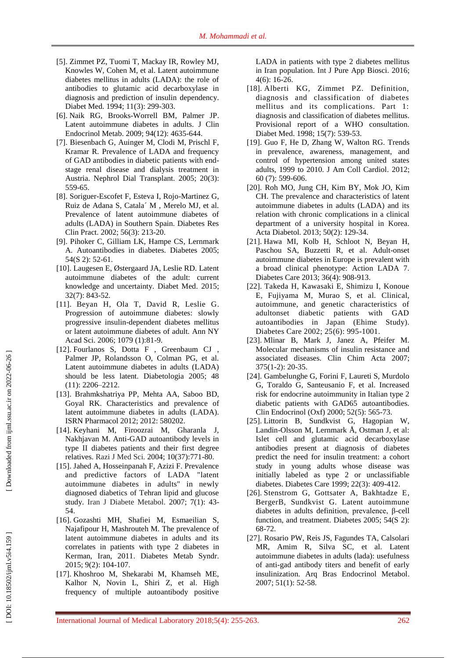- [5] . Zimmet PZ, Tuomi T, Mackay IR, Rowley MJ, Knowles W, Cohen M, et al. Latent autoimmune diabetes mellitus in adults (LADA): the role of antibodies to glutamic acid decarboxylase in diagnosis and prediction of insulin dependency. Diabet Med. 1994; 11(3): 299 -303.
- [6] . Naik RG, Brooks [-Worrell BM,](https://www.ncbi.nlm.nih.gov/pubmed/?term=Brooks-Worrell%20BM%5BAuthor%5D&cauthor=true&cauthor_uid=19837918) [Palmer JP.](https://www.ncbi.nlm.nih.gov/pubmed/?term=Palmer%20JP%5BAuthor%5D&cauthor=true&cauthor_uid=19837918) Latent autoimmune diabetes in adults. J Clin Endocrinol Metab. 2009; 94(12): 4635 -644.
- [7] . Biesenbach G, Auinger M, Clodi M, Prischl F, Kramar R. Prevalence of LADA and frequency of GAD antibodies in diabetic patients with end stage renal disease and dialysis treatment in Austria. Nephrol Dial Transplant. 2005; 20(3): 559 -65.
- [8] . Soriguer -Escofet F, Esteva I, Rojo -Martinez G, Ruiz de Adana S, Catala´ M , Merelo MJ, et al. Prevalence of latent autoimmune diabetes of adults (LADA) in Southern Spain. Diabetes Res Clin Pract. 2002; 56(3): 213 -20.
- [9] . Pihoker C, Gilliam LK, Hampe CS, Lernmark A. Autoantibodies in diabetes. Diabetes 2005; 54(S 2): 52 -61.
- [10] . Laugesen E, Østergaard JA, Leslie RD. Latent autoimmune diabetes of the adult: current knowledge and uncertainty. Diabet Med . 2015; 32(7): 843 -52.
- [11] . Beyan H, Ola T, David R, Leslie G. Progression of autoimmune diabetes: slowly progressive insulin -dependent diabetes mellitus or latent autoimmune diabetes of adult. Ann NY Acad Sci . 2006; 1079 (1):81 -9.
- [12] . Fourlanos S, Dotta F , Greenbaum CJ , Palmer JP, Rolandsson O, Colman PG, et al. Latent autoimmune diabetes in adults (LADA) should be less latent. Diabetologia 2005; 48 (11): 2206 –2212.
- [13] . Brahmkshatriya PP, Mehta AA, Saboo BD, Goyal RK. Characteristics and prevalence of latent autoimmune diabetes in adults (LADA). ISRN Pharmacol 2012; 2012: 580202.
- [14] . Keyhani M, Firoozrai M, Gharanla J, Nakhjavan M. Anti -GAD autoantibody levels in type II diabetes patients and their first degree relatives. Razi J Med Sci. 2004; 10(37):771 -80.
- [15] . Jahed A, Hosseinpanah F, Azizi F. Prevalence and predictive factors of LADA "latent autoimmune diabetes in adults" in newly diagnosed diabetics of Tehran lipid and glucose study. Iran J Diabete Metabol. 2007; 7(1): 43 - 54.
- [16] . Gozashti MH, Shafiei M, Esmaeilian S, Najafipour H, Mashrouteh M. The prevalence of latent autoimmune diabetes in adults and its correlates in patients with type 2 diabetes in Kerman, Iran, 2011. Diabetes Metab Syndr . 2015; 9(2): 104 -107.
- [17] . Khoshroo M, Shekarabi M, Khamseh ME, Kalhor N, Novin L, Shiri Z, et al. High frequency of multiple autoantibody positive

LADA in patients with type 2 diabetes mellitus in Iran population. Int J Pure App Biosci. 2016; 4(6): 16-26.

- [18 ] . Alberti KG, Zimmet PZ. Definition, diagnosis and classification of diabetes mellitus and its complications. Part 1: diagnosis and classification of diabetes mellitus. Provisional report of a WHO consultation. Diabet Med . 1998; 15(7): 539 -53.
- [19] . Guo F, He D, Zhang W, Walton RG. Trends in prevalence, awareness, management, and control of hypertension among united states adults, 1999 to 2010. J Am Coll Cardiol . 2012; 60 (7): 599 -606.
- [2 0 ] . Roh MO, Jung CH, Kim BY, Mok JO, Kim CH. The prevalence and characteristics of latent autoimmune diabetes in adults (LADA) and its relation with chronic complications in a clinical department of a university hospital in Korea. Acta Diabetol . 2013; 50(2): 129 -34.
- [2 1 ] . Hawa MI, Kolb H, Schloot N, Beyan H, Paschou SA, Buzzetti R, et al. Adult-onset autoimmune diabetes in Europe is prevalent with a broad clinical phenotype: Action LADA 7. Diabetes Care 2013; 36(4): 908 -913.
- [2 2 ] . Takeda H, Kawasaki E, Shimizu I, Konoue E, Fujiyama M, Murao S, et al. Clinical, autoimmune, and genetic characteristics of adultonset diabetic patients with GAD autoantibodies in Japan (Ehime Study). Diabetes Care 2002; 25(6): 995 -1001.
- [2 3 ] . Mlinar B, Mark J, Janez A, Pfeifer M. Molecular mechanisms of insulin resistance and associated diseases. Clin Chim Acta 2007; 375(1 -2): 20 -35.
- [2 4 ] . Gambelunghe G, Forini F, Laureti S, Murdolo G, Toraldo G, Santeusanio F, et al. Increased risk for endocrine autoimmunity in Italian type 2 diabetic patients with GAD65 autoantibodies. Clin Endocrinol (Oxf) 2000; 52(5): 565 -73.
- [2 5 ] . Littorin B, Sundkvist G, Hagopian W, Landin -Olsson M, Lernmark Å, Ostman J, et al: Islet cell and glutamic acid decarboxylase antibodies present at diagnosis of diabetes predict the need for insulin treatment: a cohort study in young adults whose disease was initially labeled as type 2 or unclassifiable diabetes. Diabetes Care 1999; 22(3): 409 -412.
- [2 6 ] . Stenstrom G, Gottsater A, Bakhtadze E, BergerB, Sundkvist G. Latent autoimmune diabetes in adults defini tion, prevalence, β -cell function, and treatment. Diabetes 2005; 54(S 2): 68 -72.
- [2 7 ] . Rosario PW, Reis JS, Fagundes TA, Calsolari MR, Amim R, Silva SC, et al. Latent autoimmune diabetes in adults (lada): usefulness of anti -gad antibody titers and benefit of early insulinization. Arq Bras Endocrinol Metabol . 2007; 51(1): 52 -58.